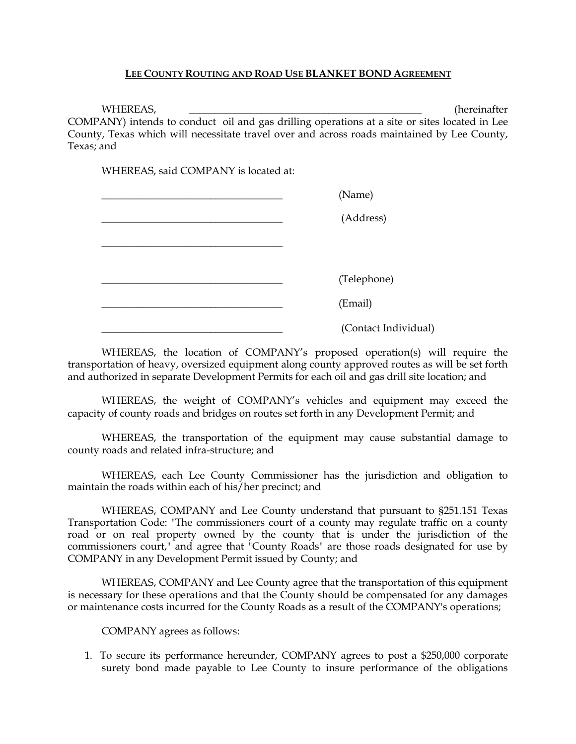## **LEE COUNTY ROUTING AND ROAD USE BLANKET BOND AGREEMENT**

WHEREAS, where the control of the control of the control of the control of the control of the control of the control of the control of the control of the control of the control of the control of the control of the control COMPANY) intends to conduct oil and gas drilling operations at a site or sites located in Lee County, Texas which will necessitate travel over and across roads maintained by Lee County, Texas; and

WHEREAS, said COMPANY is located at:

| (Name)               |  |
|----------------------|--|
| (Address)            |  |
|                      |  |
|                      |  |
| (Telephone)          |  |
| (Email)              |  |
| (Contact Individual) |  |

WHEREAS, the location of COMPANY's proposed operation(s) will require the transportation of heavy, oversized equipment along county approved routes as will be set forth and authorized in separate Development Permits for each oil and gas drill site location; and

WHEREAS, the weight of COMPANY's vehicles and equipment may exceed the capacity of county roads and bridges on routes set forth in any Development Permit; and

WHEREAS, the transportation of the equipment may cause substantial damage to county roads and related infra-structure; and

WHEREAS, each Lee County Commissioner has the jurisdiction and obligation to maintain the roads within each of his/her precinct; and

WHEREAS, COMPANY and Lee County understand that pursuant to §251.151 Texas Transportation Code: "The commissioners court of a county may regulate traffic on a county road or on real property owned by the county that is under the jurisdiction of the commissioners court," and agree that "County Roads" are those roads designated for use by COMPANY in any Development Permit issued by County; and

WHEREAS, COMPANY and Lee County agree that the transportation of this equipment is necessary for these operations and that the County should be compensated for any damages or maintenance costs incurred for the County Roads as a result of the COMPANY's operations;

COMPANY agrees as follows:

1. To secure its performance hereunder, COMPANY agrees to post a \$250,000 corporate surety bond made payable to Lee County to insure performance of the obligations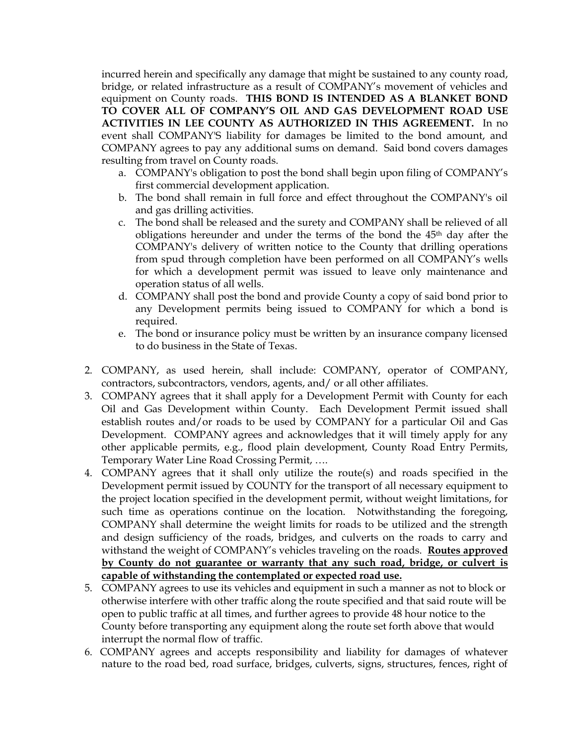incurred herein and specifically any damage that might be sustained to any county road, bridge, or related infrastructure as a result of COMPANY's movement of vehicles and equipment on County roads. **THIS BOND IS INTENDED AS A BLANKET BOND TO COVER ALL OF COMPANY'S OIL AND GAS DEVELOPMENT ROAD USE ACTIVITIES IN LEE COUNTY AS AUTHORIZED IN THIS AGREEMENT.** In no event shall COMPANY'S liability for damages be limited to the bond amount, and COMPANY agrees to pay any additional sums on demand. Said bond covers damages resulting from travel on County roads.

- a. COMPANY's obligation to post the bond shall begin upon filing of COMPANY's first commercial development application.
- b. The bond shall remain in full force and effect throughout the COMPANY's oil and gas drilling activities.
- c. The bond shall be released and the surety and COMPANY shall be relieved of all obligations hereunder and under the terms of the bond the 45th day after the COMPANY's delivery of written notice to the County that drilling operations from spud through completion have been performed on all COMPANY's wells for which a development permit was issued to leave only maintenance and operation status of all wells.
- d. COMPANY shall post the bond and provide County a copy of said bond prior to any Development permits being issued to COMPANY for which a bond is required.
- e. The bond or insurance policy must be written by an insurance company licensed to do business in the State of Texas.
- 2. COMPANY, as used herein, shall include: COMPANY, operator of COMPANY, contractors, subcontractors, vendors, agents, and/ or all other affiliates.
- 3. COMPANY agrees that it shall apply for a Development Permit with County for each Oil and Gas Development within County. Each Development Permit issued shall establish routes and/or roads to be used by COMPANY for a particular Oil and Gas Development. COMPANY agrees and acknowledges that it will timely apply for any other applicable permits, e.g., flood plain development, County Road Entry Permits, Temporary Water Line Road Crossing Permit, ….
- 4. COMPANY agrees that it shall only utilize the route(s) and roads specified in the Development permit issued by COUNTY for the transport of all necessary equipment to the project location specified in the development permit, without weight limitations, for such time as operations continue on the location. Notwithstanding the foregoing, COMPANY shall determine the weight limits for roads to be utilized and the strength and design sufficiency of the roads, bridges, and culverts on the roads to carry and withstand the weight of COMPANY's vehicles traveling on the roads. **Routes approved by County do not guarantee or warranty that any such road, bridge, or culvert is capable of withstanding the contemplated or expected road use.**
- 5. COMPANY agrees to use its vehicles and equipment in such a manner as not to block or otherwise interfere with other traffic along the route specified and that said route will be open to public traffic at all times, and further agrees to provide 48 hour notice to the County before transporting any equipment along the route set forth above that would interrupt the normal flow of traffic.
- 6. COMPANY agrees and accepts responsibility and liability for damages of whatever nature to the road bed, road surface, bridges, culverts, signs, structures, fences, right of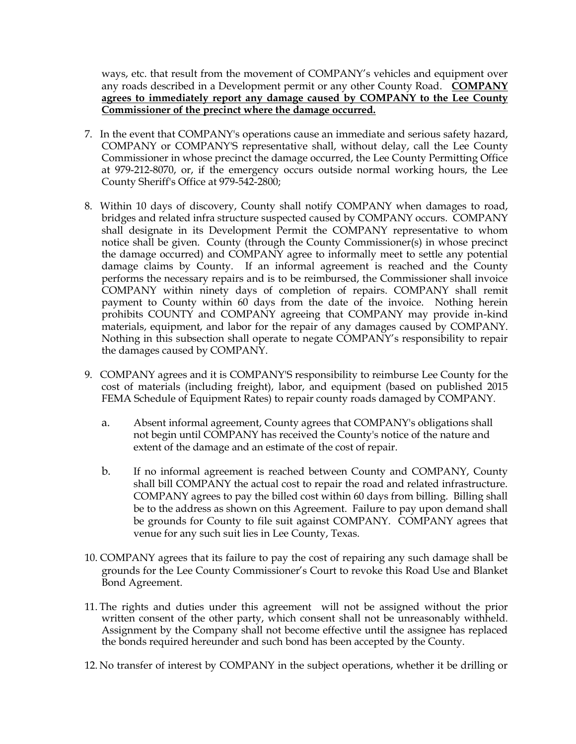ways, etc. that result from the movement of COMPANY's vehicles and equipment over any roads described in a Development permit or any other County Road. **COMPANY agrees to immediately report any damage caused by COMPANY to the Lee County Commissioner of the precinct where the damage occurred.**

- 7. In the event that COMPANY's operations cause an immediate and serious safety hazard, COMPANY or COMPANY'S representative shall, without delay, call the Lee County Commissioner in whose precinct the damage occurred, the Lee County Permitting Office at 979-212-8070, or, if the emergency occurs outside normal working hours, the Lee County Sheriff's Office at 979-542-2800;
- 8. Within 10 days of discovery, County shall notify COMPANY when damages to road, bridges and related infra structure suspected caused by COMPANY occurs. COMPANY shall designate in its Development Permit the COMPANY representative to whom notice shall be given. County (through the County Commissioner(s) in whose precinct the damage occurred) and COMPANY agree to informally meet to settle any potential damage claims by County. If an informal agreement is reached and the County performs the necessary repairs and is to be reimbursed, the Commissioner shall invoice COMPANY within ninety days of completion of repairs. COMPANY shall remit payment to County within 60 days from the date of the invoice. Nothing herein prohibits COUNTY and COMPANY agreeing that COMPANY may provide in-kind materials, equipment, and labor for the repair of any damages caused by COMPANY. Nothing in this subsection shall operate to negate COMPANY's responsibility to repair the damages caused by COMPANY.
- 9. COMPANY agrees and it is COMPANY'S responsibility to reimburse Lee County for the cost of materials (including freight), labor, and equipment (based on published 2015 FEMA Schedule of Equipment Rates) to repair county roads damaged by COMPANY.
	- a. Absent informal agreement, County agrees that COMPANY's obligations shall not begin until COMPANY has received the County's notice of the nature and extent of the damage and an estimate of the cost of repair.
	- b. If no informal agreement is reached between County and COMPANY, County shall bill COMPANY the actual cost to repair the road and related infrastructure. COMPANY agrees to pay the billed cost within 60 days from billing. Billing shall be to the address as shown on this Agreement. Failure to pay upon demand shall be grounds for County to file suit against COMPANY. COMPANY agrees that venue for any such suit lies in Lee County, Texas.
- 10. COMPANY agrees that its failure to pay the cost of repairing any such damage shall be grounds for the Lee County Commissioner's Court to revoke this Road Use and Blanket Bond Agreement.
- 11. The rights and duties under this agreement will not be assigned without the prior written consent of the other party, which consent shall not be unreasonably withheld. Assignment by the Company shall not become effective until the assignee has replaced the bonds required hereunder and such bond has been accepted by the County.
- 12. No transfer of interest by COMPANY in the subject operations, whether it be drilling or